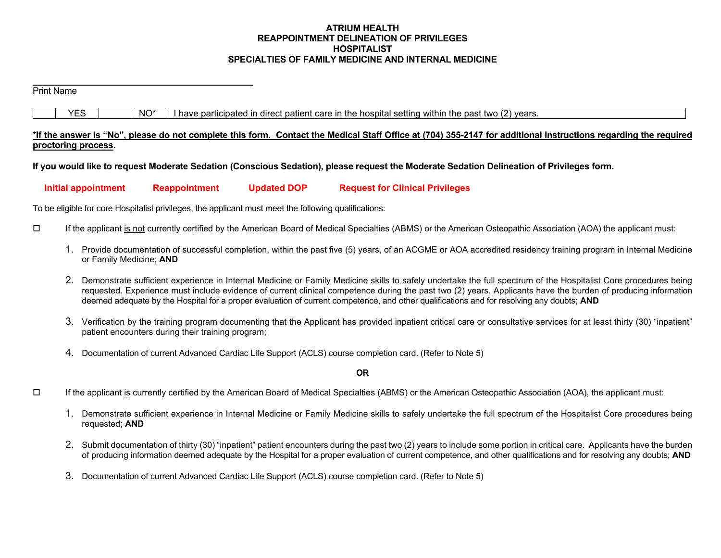### **ATRIUM HEALTH REAPPOINTMENT DELINEATION OF PRIVILEGES HOSPITALIST SPECIALTIES OF FAMILY MEDICINE AND INTERNAL MEDICINE**

#### Print Name

 $YES$   $\vert$   $NO^*$  I have participated in direct patient care in the hospital setting within the past two (2) years.

### **\*If the answer is "No", please do not complete this form. Contact the Medical Staff Office at (704) 355-2147 for additional instructions regarding the required proctoring process.**

**If you would like to request Moderate Sedation (Conscious Sedation), please request the Moderate Sedation Delineation of Privileges form.** 

 **Initial appointment Reappointment Updated DOP Request for Clinical Privileges** 

To be eligible for core Hospitalist privileges, the applicant must meet the following qualifications:

- If the applicant is not currently certified by the American Board of Medical Specialties (ABMS) or the American Osteopathic Association (AOA) the applicant must:
	- 1. Provide documentation of successful completion, within the past five (5) years, of an ACGME or AOA accredited residency training program in Internal Medicine or Family Medicine; **AND**
	- 2. Demonstrate sufficient experience in Internal Medicine or Family Medicine skills to safely undertake the full spectrum of the Hospitalist Core procedures being requested. Experience must include evidence of current clinical competence during the past two (2) years. Applicants have the burden of producing information deemed adequate by the Hospital for a proper evaluation of current competence, and other qualifications and for resolving any doubts; **AND**
	- 3. Verification by the training program documenting that the Applicant has provided inpatient critical care or consultative services for at least thirty (30) "inpatient" patient encounters during their training program;
	- 4. Documentation of current Advanced Cardiac Life Support (ACLS) course completion card. (Refer to Note 5)

**OR**

- $\Box$  If the applicant is currently certified by the American Board of Medical Specialties (ABMS) or the American Osteopathic Association (AOA), the applicant must:
	- 1. Demonstrate sufficient experience in Internal Medicine or Family Medicine skills to safely undertake the full spectrum of the Hospitalist Core procedures being requested; **AND**
	- 2. Submit documentation of thirty (30) "inpatient" patient encounters during the past two (2) years to include some portion in critical care. Applicants have the burden of producing information deemed adequate by the Hospital for a proper evaluation of current competence, and other qualifications and for resolving any doubts; **AND**
	- 3. Documentation of current Advanced Cardiac Life Support (ACLS) course completion card. (Refer to Note 5)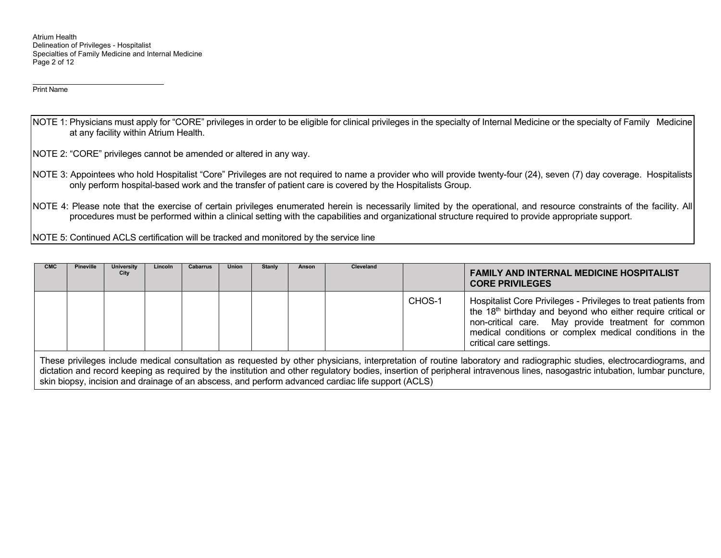Atrium Health Delineation of Privileges - Hospitalist Specialties of Family Medicine and Internal Medicine Page 2 of 12

Print Name

- NOTE 1: Physicians must apply for "CORE" privileges in order to be eligible for clinical privileges in the specialty of Internal Medicine or the specialty of Family Medicine at any facility within Atrium Health.
- NOTE 2: "CORE" privileges cannot be amended or altered in any way.
- NOTE 3: Appointees who hold Hospitalist "Core" Privileges are not required to name a provider who will provide twenty-four (24), seven (7) day coverage. Hospitalists only perform hospital-based work and the transfer of patient care is covered by the Hospitalists Group.
- NOTE 4: Please note that the exercise of certain privileges enumerated herein is necessarily limited by the operational, and resource constraints of the facility. All procedures must be performed within a clinical setting with the capabilities and organizational structure required to provide appropriate support.

NOTE 5: Continued ACLS certification will be tracked and monitored by the service line

| <b>CMC</b>                                                                                                                                                             | <b>Pineville</b> | University<br>City | Lincoln | Cabarrus | Union | Stanly | Anson | Cleveland |        | <b>FAMILY AND INTERNAL MEDICINE HOSPITALIST</b><br><b>CORE PRIVILEGES</b>                                                                                                                                                                                                               |
|------------------------------------------------------------------------------------------------------------------------------------------------------------------------|------------------|--------------------|---------|----------|-------|--------|-------|-----------|--------|-----------------------------------------------------------------------------------------------------------------------------------------------------------------------------------------------------------------------------------------------------------------------------------------|
|                                                                                                                                                                        |                  |                    |         |          |       |        |       |           | CHOS-1 | Hospitalist Core Privileges - Privileges to treat patients from<br>the 18 <sup>th</sup> birthday and beyond who either require critical or<br>non-critical care. May provide treatment for common<br>medical conditions or complex medical conditions in the<br>critical care settings. |
| These privileges include medical consultation as requested by other physicians, interpretation of routine laboratory and radiographic studies, electrocardiograms, and |                  |                    |         |          |       |        |       |           |        |                                                                                                                                                                                                                                                                                         |

dictation and record keeping as required by the institution and other regulatory bodies, insertion of peripheral intravenous lines, nasogastric intubation, lumbar puncture, skin biopsy, incision and drainage of an abscess, and perform advanced cardiac life support (ACLS)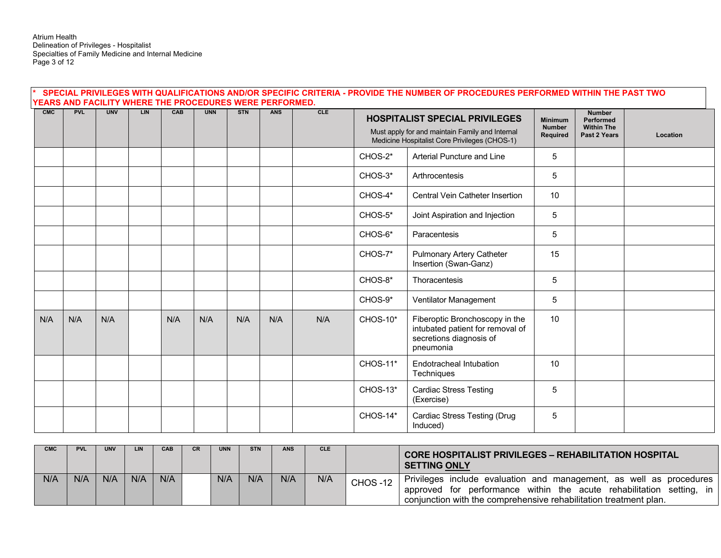Atrium Health Delineation of Privileges - Hospitalist Specialties of Family Medicine and Internal Medicine Page 3 of 12

| SPECIAL PRIVILEGES WITH QUALIFICATIONS AND/OR SPECIFIC CRITERIA - PROVIDE THE NUMBER OF PROCEDURES PERFORMED WITHIN THE PAST TWO<br>YEARS AND FACILITY WHERE THE PROCEDURES WERE PERFORMED. |            |            |            |     |            |            |            |     |                 |                                                                                                                                           |                                             |                                                                        |          |
|---------------------------------------------------------------------------------------------------------------------------------------------------------------------------------------------|------------|------------|------------|-----|------------|------------|------------|-----|-----------------|-------------------------------------------------------------------------------------------------------------------------------------------|---------------------------------------------|------------------------------------------------------------------------|----------|
| CMC                                                                                                                                                                                         | <b>PVL</b> | <b>UNV</b> | <b>LIN</b> | CAB | <b>UNN</b> | <b>STN</b> | <b>ANS</b> | CLE |                 | <b>HOSPITALIST SPECIAL PRIVILEGES</b><br>Must apply for and maintain Family and Internal<br>Medicine Hospitalist Core Privileges (CHOS-1) | <b>Minimum</b><br><b>Number</b><br>Required | <b>Number</b><br><b>Performed</b><br><b>Within The</b><br>Past 2 Years | Location |
|                                                                                                                                                                                             |            |            |            |     |            |            |            |     | $CHOS-2*$       | Arterial Puncture and Line                                                                                                                | 5                                           |                                                                        |          |
|                                                                                                                                                                                             |            |            |            |     |            |            |            |     | CHOS-3*         | Arthrocentesis                                                                                                                            | 5                                           |                                                                        |          |
|                                                                                                                                                                                             |            |            |            |     |            |            |            |     | CHOS-4*         | Central Vein Catheter Insertion                                                                                                           | 10                                          |                                                                        |          |
|                                                                                                                                                                                             |            |            |            |     |            |            |            |     | CHOS-5*         | Joint Aspiration and Injection                                                                                                            | 5                                           |                                                                        |          |
|                                                                                                                                                                                             |            |            |            |     |            |            |            |     | CHOS-6*         | Paracentesis                                                                                                                              | 5                                           |                                                                        |          |
|                                                                                                                                                                                             |            |            |            |     |            |            |            |     | CHOS-7*         | <b>Pulmonary Artery Catheter</b><br>Insertion (Swan-Ganz)                                                                                 | 15                                          |                                                                        |          |
|                                                                                                                                                                                             |            |            |            |     |            |            |            |     | CHOS-8*         | Thoracentesis                                                                                                                             | 5                                           |                                                                        |          |
|                                                                                                                                                                                             |            |            |            |     |            |            |            |     | CHOS-9*         | Ventilator Management                                                                                                                     | 5                                           |                                                                        |          |
| N/A                                                                                                                                                                                         | N/A        | N/A        |            | N/A | N/A        | N/A        | N/A        | N/A | CHOS-10*        | Fiberoptic Bronchoscopy in the<br>intubated patient for removal of<br>secretions diagnosis of<br>pneumonia                                | 10                                          |                                                                        |          |
|                                                                                                                                                                                             |            |            |            |     |            |            |            |     | <b>CHOS-11*</b> | Endotracheal Intubation<br>Techniques                                                                                                     | 10                                          |                                                                        |          |
|                                                                                                                                                                                             |            |            |            |     |            |            |            |     | CHOS-13*        | <b>Cardiac Stress Testing</b><br>(Exercise)                                                                                               | 5                                           |                                                                        |          |
|                                                                                                                                                                                             |            |            |            |     |            |            |            |     | <b>CHOS-14*</b> | <b>Cardiac Stress Testing (Drug</b><br>Induced)                                                                                           | 5                                           |                                                                        |          |

| <b>CMC</b> | PVL | <b>UNV</b> | <b>LIN</b> | <b>CAB</b> | <b>CR</b> | <b>UNN</b> | <b>STN</b> | <b>ANS</b> | CLE. |                | <b>CORE HOSPITALIST PRIVILEGES - REHABILITATION HOSPITAL</b><br><b>SETTING ONLY</b>                                                                                                                              |
|------------|-----|------------|------------|------------|-----------|------------|------------|------------|------|----------------|------------------------------------------------------------------------------------------------------------------------------------------------------------------------------------------------------------------|
| N/A        | N/F | N/A        | N/A        | N/A        |           | N/A        | N/A        | N/A        | N/A  | <b>CHOS-12</b> | Privileges include evaluation and management, as well as procedures<br>approved for performance within the acute rehabilitation setting, in<br>conjunction with the comprehensive rehabilitation treatment plan. |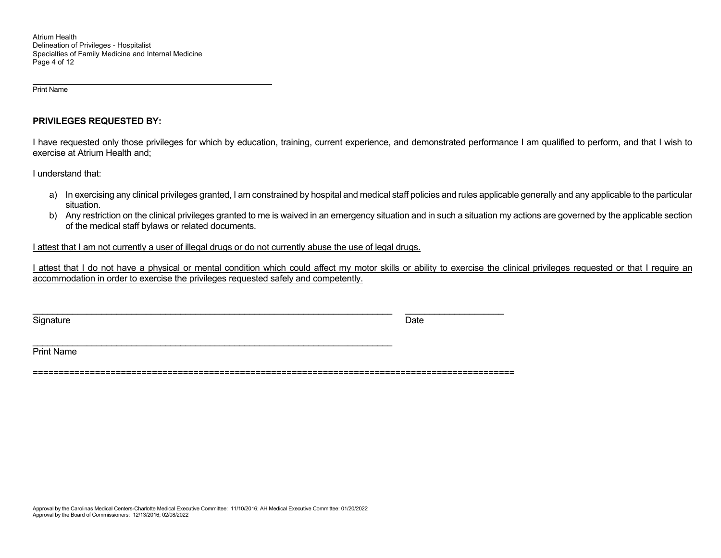Print Name

#### **PRIVILEGES REQUESTED BY:**

I have requested only those privileges for which by education, training, current experience, and demonstrated performance I am qualified to perform, and that I wish to exercise at Atrium Health and;

I understand that:

- a) In exercising any clinical privileges granted, I am constrained by hospital and medical staff policies and rules applicable generally and any applicable to the particular situation.
- b) Any restriction on the clinical privileges granted to me is waived in an emergency situation and in such a situation my actions are governed by the applicable section of the medical staff bylaws or related documents.

I attest that I am not currently a user of illegal drugs or do not currently abuse the use of legal drugs.

\_\_\_\_\_\_\_\_\_\_\_\_\_\_\_\_\_\_\_\_\_\_\_\_\_\_\_\_\_\_\_\_\_\_\_\_\_\_\_\_\_\_\_\_\_\_\_\_\_\_\_\_\_\_\_\_\_\_\_\_\_\_\_\_\_\_\_\_\_\_\_\_\_

I attest that I do not have a physical or mental condition which could affect my motor skills or ability to exercise the clinical privileges requested or that I require an accommodation in order to exercise the privileges requested safely and competently.

Signature Date of the Date of the Signature Date of the Date of the Date of the Date of the Date of the Date o

\_\_\_\_\_\_\_\_\_\_\_\_\_\_\_\_\_\_\_\_\_\_\_\_\_\_\_\_\_\_\_\_\_\_\_\_\_\_\_\_\_\_\_\_\_\_\_\_\_\_\_\_\_\_\_\_\_\_\_\_\_\_\_\_\_\_\_\_\_\_\_\_\_ \_\_\_\_\_\_\_\_\_\_\_\_\_\_\_\_\_\_\_\_

Print Name

=============================================================================================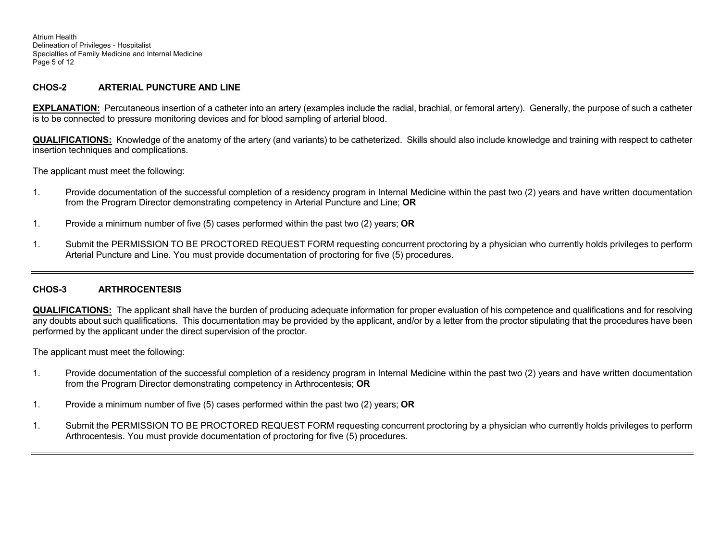Atrium Health Delineation of Privileges - Hospitalist Specialties of Family Medicine and Internal Medicine Page 5 of 12

### **CHOS-2 ARTERIAL PUNCTURE AND LINE**

**EXPLANATION:** Percutaneous insertion of a catheter into an artery (examples include the radial, brachial, or femoral artery). Generally, the purpose of such a catheter is to be connected to pressure monitoring devices and for blood sampling of arterial blood.

**QUALIFICATIONS:** Knowledge of the anatomy of the artery (and variants) to be catheterized. Skills should also include knowledge and training with respect to catheter insertion techniques and complications.

The applicant must meet the following:

- 1. Provide documentation of the successful completion of a residency program in Internal Medicine within the past two (2) years and have written documentation from the Program Director demonstrating competency in Arterial Puncture and Line; **OR**
- 1. Provide a minimum number of five (5) cases performed within the past two (2) years; **OR**
- 1. Submit the PERMISSION TO BE PROCTORED REQUEST FORM requesting concurrent proctoring by a physician who currently holds privileges to perform Arterial Puncture and Line. You must provide documentation of proctoring for five (5) procedures.

### **CHOS-3 ARTHROCENTESIS**

**QUALIFICATIONS:** The applicant shall have the burden of producing adequate information for proper evaluation of his competence and qualifications and for resolving any doubts about such qualifications. This documentation may be provided by the applicant, and/or by a letter from the proctor stipulating that the procedures have been performed by the applicant under the direct supervision of the proctor.

- 1. Provide documentation of the successful completion of a residency program in Internal Medicine within the past two (2) years and have written documentation from the Program Director demonstrating competency in Arthrocentesis; **OR**
- 1. Provide a minimum number of five (5) cases performed within the past two (2) years; **OR**
- 1. Submit the PERMISSION TO BE PROCTORED REQUEST FORM requesting concurrent proctoring by a physician who currently holds privileges to perform Arthrocentesis. You must provide documentation of proctoring for five (5) procedures.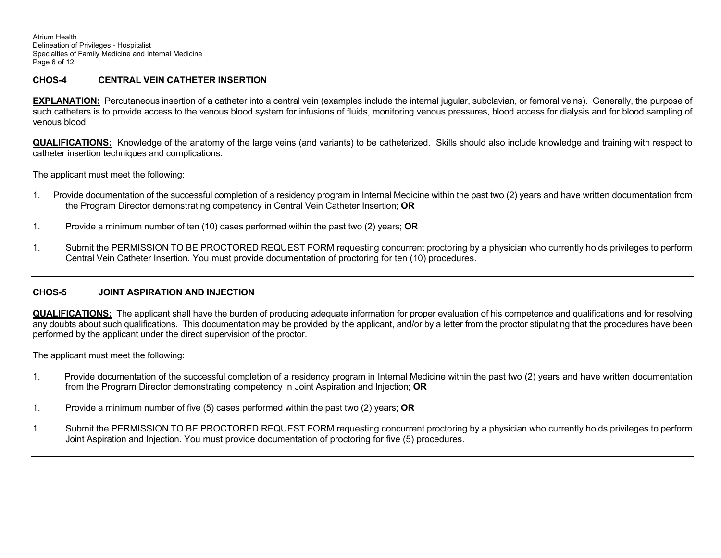Atrium Health Delineation of Privileges - Hospitalist Specialties of Family Medicine and Internal Medicine Page 6 of 12

# **CHOS-4 CENTRAL VEIN CATHETER INSERTION**

**EXPLANATION:** Percutaneous insertion of a catheter into a central vein (examples include the internal jugular, subclavian, or femoral veins). Generally, the purpose of such catheters is to provide access to the venous blood system for infusions of fluids, monitoring venous pressures, blood access for dialysis and for blood sampling of venous blood.

**QUALIFICATIONS:** Knowledge of the anatomy of the large veins (and variants) to be catheterized. Skills should also include knowledge and training with respect to catheter insertion techniques and complications.

The applicant must meet the following:

- 1. Provide documentation of the successful completion of a residency program in Internal Medicine within the past two (2) years and have written documentation from the Program Director demonstrating competency in Central Vein Catheter Insertion; **OR**
- 1. Provide a minimum number of ten (10) cases performed within the past two (2) years; **OR**
- 1. Submit the PERMISSION TO BE PROCTORED REQUEST FORM requesting concurrent proctoring by a physician who currently holds privileges to perform Central Vein Catheter Insertion. You must provide documentation of proctoring for ten (10) procedures.

#### **CHOS-5JOINT ASPIRATION AND INJECTION**

**QUALIFICATIONS:** The applicant shall have the burden of producing adequate information for proper evaluation of his competence and qualifications and for resolving any doubts about such qualifications. This documentation may be provided by the applicant, and/or by a letter from the proctor stipulating that the procedures have been performed by the applicant under the direct supervision of the proctor.

- 1. Provide documentation of the successful completion of a residency program in Internal Medicine within the past two (2) years and have written documentation from the Program Director demonstrating competency in Joint Aspiration and Injection; **OR**
- 1. Provide a minimum number of five (5) cases performed within the past two (2) years; **OR**
- 1. Submit the PERMISSION TO BE PROCTORED REQUEST FORM requesting concurrent proctoring by a physician who currently holds privileges to perform Joint Aspiration and Injection. You must provide documentation of proctoring for five (5) procedures.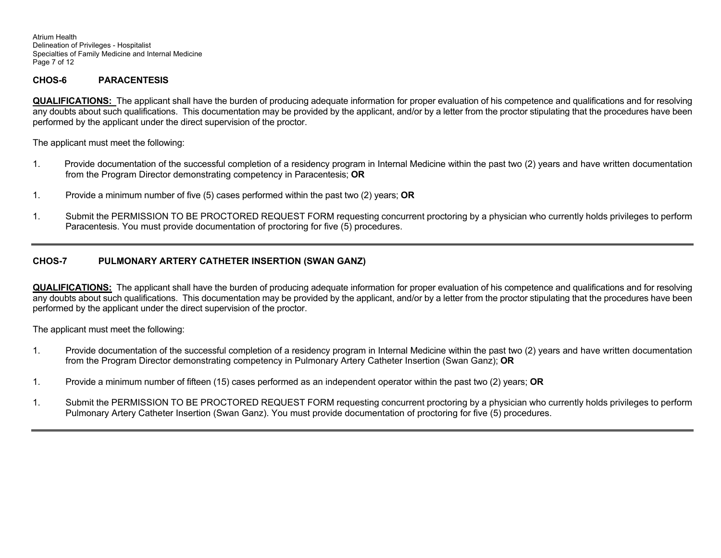Atrium Health Delineation of Privileges - Hospitalist Specialties of Family Medicine and Internal Medicine Page 7 of 12

#### **CHOS-6PARACENTESIS**

**QUALIFICATIONS:** The applicant shall have the burden of producing adequate information for proper evaluation of his competence and qualifications and for resolving any doubts about such qualifications. This documentation may be provided by the applicant, and/or by a letter from the proctor stipulating that the procedures have been performed by the applicant under the direct supervision of the proctor.

The applicant must meet the following:

- 1. Provide documentation of the successful completion of a residency program in Internal Medicine within the past two (2) years and have written documentation from the Program Director demonstrating competency in Paracentesis; **OR**
- 1. Provide a minimum number of five (5) cases performed within the past two (2) years; **OR**
- 1. Submit the PERMISSION TO BE PROCTORED REQUEST FORM requesting concurrent proctoring by a physician who currently holds privileges to perform Paracentesis. You must provide documentation of proctoring for five (5) procedures.

## **CHOS-7 PULMONARY ARTERY CATHETER INSERTION (SWAN GANZ)**

**QUALIFICATIONS:** The applicant shall have the burden of producing adequate information for proper evaluation of his competence and qualifications and for resolving any doubts about such qualifications. This documentation may be provided by the applicant, and/or by a letter from the proctor stipulating that the procedures have been performed by the applicant under the direct supervision of the proctor.

- 1. Provide documentation of the successful completion of a residency program in Internal Medicine within the past two (2) years and have written documentation from the Program Director demonstrating competency in Pulmonary Artery Catheter Insertion (Swan Ganz); **OR**
- 1. Provide a minimum number of fifteen (15) cases performed as an independent operator within the past two (2) years; **OR**
- 1. Submit the PERMISSION TO BE PROCTORED REQUEST FORM requesting concurrent proctoring by a physician who currently holds privileges to perform Pulmonary Artery Catheter Insertion (Swan Ganz). You must provide documentation of proctoring for five (5) procedures.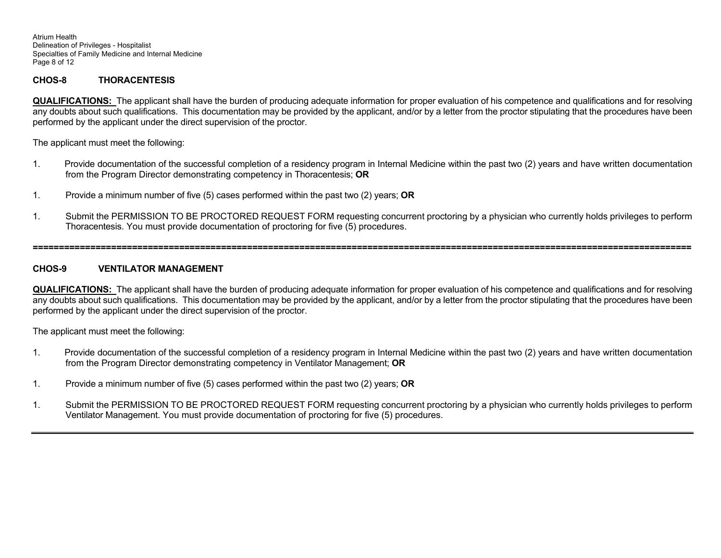Atrium Health Delineation of Privileges - Hospitalist Specialties of Family Medicine and Internal Medicine Page 8 of 12

#### **CHOS-8THORACENTESIS**

**QUALIFICATIONS:** The applicant shall have the burden of producing adequate information for proper evaluation of his competence and qualifications and for resolving any doubts about such qualifications. This documentation may be provided by the applicant, and/or by a letter from the proctor stipulating that the procedures have been performed by the applicant under the direct supervision of the proctor.

The applicant must meet the following:

- 1. Provide documentation of the successful completion of a residency program in Internal Medicine within the past two (2) years and have written documentation from the Program Director demonstrating competency in Thoracentesis; **OR**
- 1. Provide a minimum number of five (5) cases performed within the past two (2) years; **OR**
- 1. Submit the PERMISSION TO BE PROCTORED REQUEST FORM requesting concurrent proctoring by a physician who currently holds privileges to perform Thoracentesis. You must provide documentation of proctoring for five (5) procedures.

**==============================================================================================================================** 

#### **CHOS-9VENTILATOR MANAGEMENT**

**QUALIFICATIONS:** The applicant shall have the burden of producing adequate information for proper evaluation of his competence and qualifications and for resolving any doubts about such qualifications. This documentation may be provided by the applicant, and/or by a letter from the proctor stipulating that the procedures have been performed by the applicant under the direct supervision of the proctor.

- 1. Provide documentation of the successful completion of a residency program in Internal Medicine within the past two (2) years and have written documentation from the Program Director demonstrating competency in Ventilator Management; **OR**
- 1. Provide a minimum number of five (5) cases performed within the past two (2) years; **OR**
- 1. Submit the PERMISSION TO BE PROCTORED REQUEST FORM requesting concurrent proctoring by a physician who currently holds privileges to perform Ventilator Management. You must provide documentation of proctoring for five (5) procedures.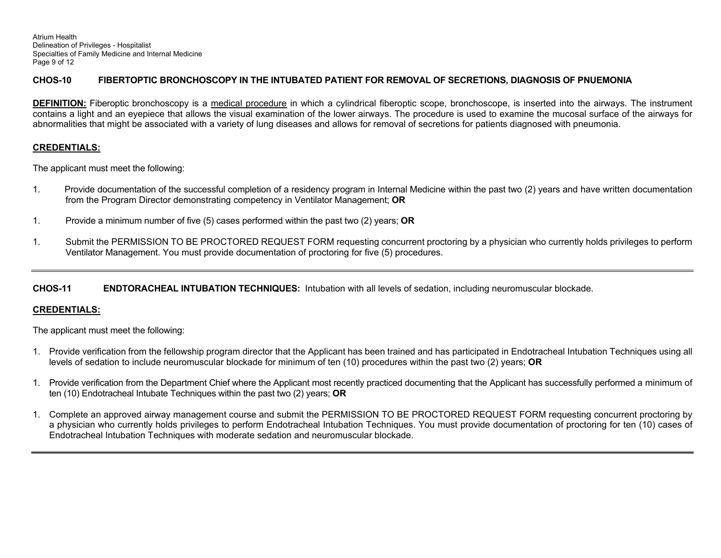Atrium Health Delineation of Privileges - Hospitalist Specialties of Family Medicine and Internal Medicine Page 9 of 12

# **CHOS-10 FIBERTOPTIC BRONCHOSCOPY IN THE INTUBATED PATIENT FOR REMOVAL OF SECRETIONS, DIAGNOSIS OF PNUEMONIA**

**DEFINITION:** Fiberoptic bronchoscopy is a medical procedure in which a cylindrical fiberoptic scope, bronchoscope, is inserted into the airways. The instrument contains a light and an eyepiece that allows the visual examination of the lower airways. The procedure is used to examine the mucosal surface of the airways for abnormalities that might be associated with a variety of lung diseases and allows for removal of secretions for patients diagnosed with pneumonia.

# **CREDENTIALS:**

The applicant must meet the following:

- 1. Provide documentation of the successful completion of a residency program in Internal Medicine within the past two (2) years and have written documentation from the Program Director demonstrating competency in Ventilator Management; **OR**
- 1. Provide a minimum number of five (5) cases performed within the past two (2) years; **OR**
- 1. Submit the PERMISSION TO BE PROCTORED REQUEST FORM requesting concurrent proctoring by a physician who currently holds privileges to perform Ventilator Management. You must provide documentation of proctoring for five (5) procedures.

# **CHOS-11 ENDTORACHEAL INTUBATION TECHNIQUES:** Intubation with all levels of sedation, including neuromuscular blockade.

# **CREDENTIALS:**

- 1. Provide verification from the fellowship program director that the Applicant has been trained and has participated in Endotracheal Intubation Techniques using all levels of sedation to include neuromuscular blockade for minimum of ten (10) procedures within the past two (2) years; **OR**
- 1. Provide verification from the Department Chief where the Applicant most recently practiced documenting that the Applicant has successfully performed a minimum of ten (10) Endotracheal Intubate Techniques within the past two (2) years; **OR**
- 1. Complete an approved airway management course and submit the PERMISSION TO BE PROCTORED REQUEST FORM requesting concurrent proctoring by a physician who currently holds privileges to perform Endotracheal Intubation Techniques. You must provide documentation of proctoring for ten (10) cases of Endotracheal Intubation Techniques with moderate sedation and neuromuscular blockade.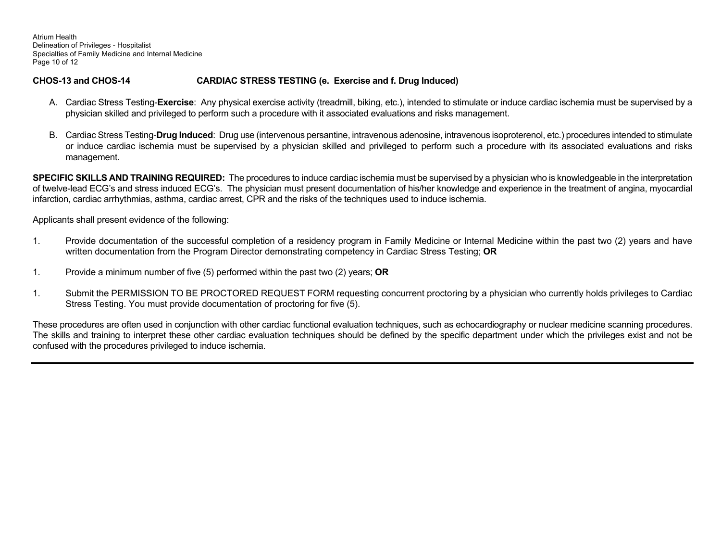Atrium Health Delineation of Privileges - Hospitalist Specialties of Family Medicine and Internal Medicine Page 10 of 12

# **CHOS-13 and CHOS-14 CARDIAC STRESS TESTING (e. Exercise and f. Drug Induced)**

- A. Cardiac Stress Testing-**Exercise**: Any physical exercise activity (treadmill, biking, etc.), intended to stimulate or induce cardiac ischemia must be supervised by a physician skilled and privileged to perform such a procedure with it associated evaluations and risks management.
- B. Cardiac Stress Testing-**Drug Induced**: Drug use (intervenous persantine, intravenous adenosine, intravenous isoproterenol, etc.) procedures intended to stimulate or induce cardiac ischemia must be supervised by a physician skilled and privileged to perform such a procedure with its associated evaluations and risks management.

**SPECIFIC SKILLS AND TRAINING REQUIRED:** The procedures to induce cardiac ischemia must be supervised by a physician who is knowledgeable in the interpretation of twelve-lead ECG's and stress induced ECG's. The physician must present documentation of his/her knowledge and experience in the treatment of angina, myocardial infarction, cardiac arrhythmias, asthma, cardiac arrest, CPR and the risks of the techniques used to induce ischemia.

Applicants shall present evidence of the following:

- 1. Provide documentation of the successful completion of a residency program in Family Medicine or Internal Medicine within the past two (2) years and have written documentation from the Program Director demonstrating competency in Cardiac Stress Testing; **OR**
- 1. Provide a minimum number of five (5) performed within the past two (2) years; **OR**
- 1. Submit the PERMISSION TO BE PROCTORED REQUEST FORM requesting concurrent proctoring by a physician who currently holds privileges to Cardiac Stress Testing. You must provide documentation of proctoring for five (5).

These procedures are often used in conjunction with other cardiac functional evaluation techniques, such as echocardiography or nuclear medicine scanning procedures. The skills and training to interpret these other cardiac evaluation techniques should be defined by the specific department under which the privileges exist and not be confused with the procedures privileged to induce ischemia.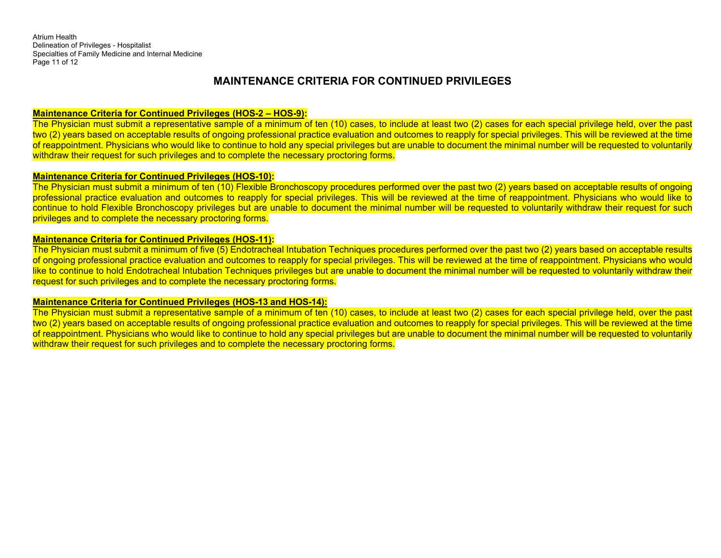Atrium Health Delineation of Privileges - Hospitalist Specialties of Family Medicine and Internal Medicine Page 11 of 12

# **MAINTENANCE CRITERIA FOR CONTINUED PRIVILEGES**

#### **Maintenance Criteria for Continued Privileges (HOS-2 – HOS-9):**

The Physician must submit a representative sample of a minimum of ten (10) cases, to include at least two (2) cases for each special privilege held, over the past two (2) years based on acceptable results of ongoing professional practice evaluation and outcomes to reapply for special privileges. This will be reviewed at the time of reappointment. Physicians who would like to continue to hold any special privileges but are unable to document the minimal number will be requested to voluntarily withdraw their request for such privileges and to complete the necessary proctoring forms.

#### **Maintenance Criteria for Continued Privileges (HOS-10):**

The Physician must submit a minimum of ten (10) Flexible Bronchoscopy procedures performed over the past two (2) years based on acceptable results of ongoing professional practice evaluation and outcomes to reapply for special privileges. This will be reviewed at the time of reappointment. Physicians who would like to continue to hold Flexible Bronchoscopy privileges but are unable to document the minimal number will be requested to voluntarily withdraw their request for such privileges and to complete the necessary proctoring forms.

#### **Maintenance Criteria for Continued Privileges (HOS-11):**

The Physician must submit a minimum of five (5) Endotracheal Intubation Techniques procedures performed over the past two (2) years based on acceptable results of ongoing professional practice evaluation and outcomes to reapply for special privileges. This will be reviewed at the time of reappointment. Physicians who would like to continue to hold Endotracheal Intubation Techniques privileges but are unable to document the minimal number will be requested to voluntarily withdraw their request for such privileges and to complete the necessary proctoring forms.

#### **Maintenance Criteria for Continued Privileges (HOS-13 and HOS-14):**

The Physician must submit a representative sample of a minimum of ten (10) cases, to include at least two (2) cases for each special privilege held, over the past two (2) years based on acceptable results of ongoing professional practice evaluation and outcomes to reapply for special privileges. This will be reviewed at the time of reappointment. Physicians who would like to continue to hold any special privileges but are unable to document the minimal number will be requested to voluntarily withdraw their request for such privileges and to complete the necessary proctoring forms.